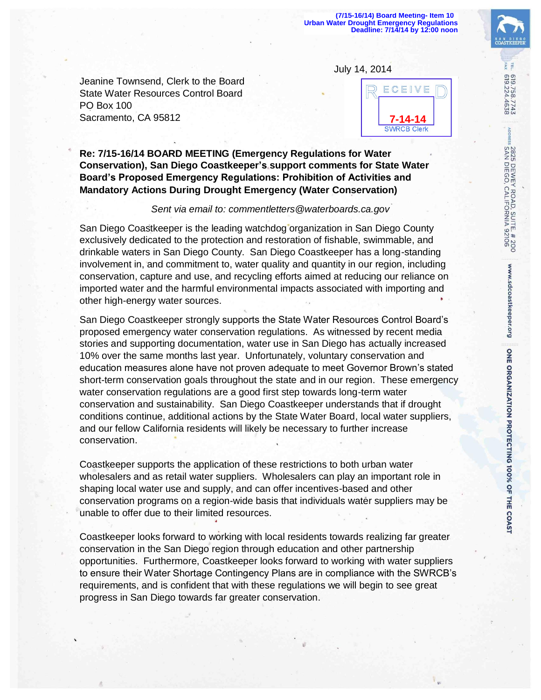Jeanine Townsend, Clerk to the Board State Water Resources Control Board PO Box 100 Sacramento, CA 95812



**Re: 7/15-16/14 BOARD MEETING (Emergency Regulations for Water Conservation), San Diego Coastkeeper's support comments for State Water Board's Proposed Emergency Regulations: Prohibition of Activities and Mandatory Actions During Drought Emergency (Water Conservation)**

## *Sent via email to: commentletters@waterboards.ca.gov*

San Diego Coastkeeper is the leading watchdog organization in San Diego County exclusively dedicated to the protection and restoration of fishable, swimmable, and drinkable waters in San Diego County. San Diego Coastkeeper has a long-standing involvement in, and commitment to, water quality and quantity in our region, including conservation, capture and use, and recycling efforts aimed at reducing our reliance on imported water and the harmful environmental impacts associated with importing and other high-energy water sources.

San Diego Coastkeeper strongly supports the State Water Resources Control Board's proposed emergency water conservation regulations. As witnessed by recent media stories and supporting documentation, water use in San Diego has actually increased 10% over the same months last year. Unfortunately, voluntary conservation and education measures alone have not proven adequate to meet Governor Brown's stated short-term conservation goals throughout the state and in our region. These emergency water conservation regulations are a good first step towards long-term water conservation and sustainability. San Diego Coastkeeper understands that if drought conditions continue, additional actions by the State Water Board, local water suppliers, and our fellow California residents will likely be necessary to further increase conservation.

Coastkeeper supports the application of these restrictions to both urban water wholesalers and as retail water suppliers. Wholesalers can play an important role in shaping local water use and supply, and can offer incentives-based and other conservation programs on a region-wide basis that individuals water suppliers may be unable to offer due to their limited resources.

Coastkeeper looks forward to working with local residents towards realizing far greater conservation in the San Diego region through education and other partnership opportunities. Furthermore, Coastkeeper looks forward to working with water suppliers to ensure their Water Shortage Contingency Plans are in compliance with the SWRCB's requirements, and is confident that with these regulations we will begin to see great progress in San Diego towards far greater conservation.

FA)

619.758.7743<br>619.224.4638

2825 DEWEY ROAD, SUITE. # 200<br>SAN DIEGO, CALIFORNIA 92106